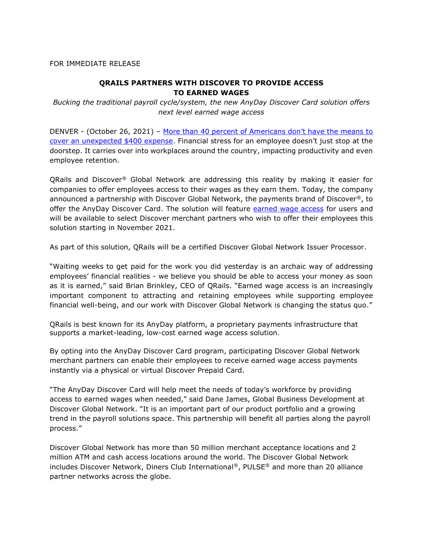## FOR IMMEDIATE RELEASE

## **QRAILS PARTNERS WITH DISCOVER TO PROVIDE ACCESS TO EARNED WAGES**

*Bucking the traditional payroll cycle/system, the new AnyDay Discover Card solution offers next level earned wage access*

DENVER - (October 26, 2021) – More than 40 percent of Americans don't have the means to [cover an unexpected \\$400 expense.](https://www.federalreserve.gov/publications/files/2018-report-economic-well-being-us-households-201905.pdf) Financial stress for an employee doesn't just stop at the doorstep. It carries over into workplaces around the country, impacting productivity and even employee retention.

QRails and Discover® Global Network are addressing this reality by making it easier for companies to offer employees access to their wages as they earn them. Today, the company announced a partnership with Discover Global Network, the payments brand of Discover<sup>®</sup>, to offer the AnyDay Discover Card. The solution will feature [earned wage access](https://anydayispayday.com/employees/) for users and will be available to select Discover merchant partners who wish to offer their employees this solution starting in November 2021.

As part of this solution, QRails will be a certified Discover Global Network Issuer Processor.

"Waiting weeks to get paid for the work you did yesterday is an archaic way of addressing employees' financial realities - we believe you should be able to access your money as soon as it is earned," said Brian Brinkley, CEO of QRails. "Earned wage access is an increasingly important component to attracting and retaining employees while supporting employee financial well-being, and our work with Discover Global Network is changing the status quo."

QRails is best known for its AnyDay platform, a proprietary payments infrastructure that supports a market-leading, low-cost earned wage access solution.

By opting into the AnyDay Discover Card program, participating Discover Global Network merchant partners can enable their employees to receive earned wage access payments instantly via a physical or virtual Discover Prepaid Card.

"The AnyDay Discover Card will help meet the needs of today's workforce by providing access to earned wages when needed," said Dane James, Global Business Development at Discover Global Network. "It is an important part of our product portfolio and a growing trend in the payroll solutions space. This partnership will benefit all parties along the payroll process."

Discover Global Network has more than 50 million merchant acceptance locations and 2 million ATM and cash access locations around the world. The Discover Global Network includes Discover Network, Diners Club International®, PULSE® and more than 20 alliance partner networks across the globe.